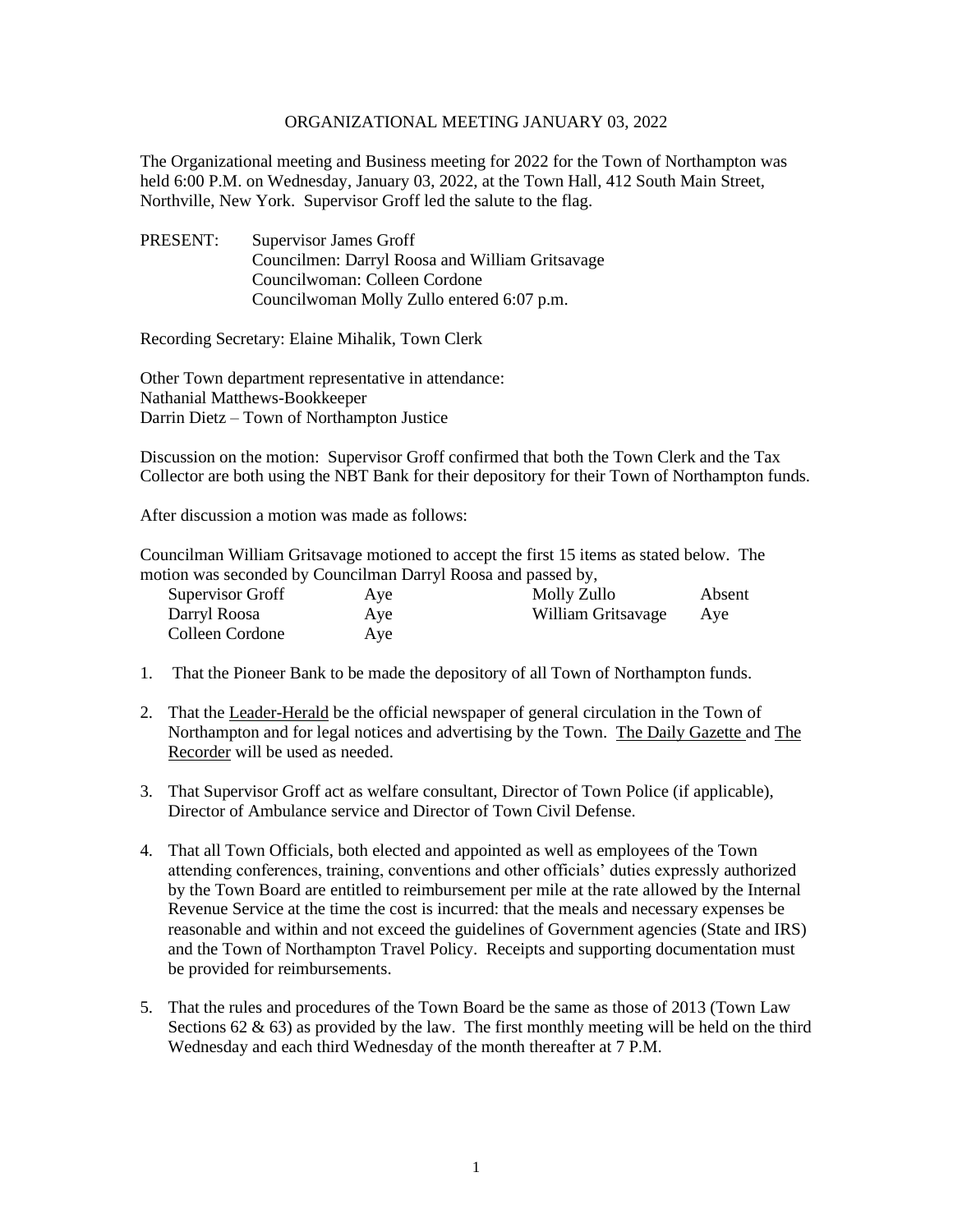#### ORGANIZATIONAL MEETING JANUARY 03, 2022

The Organizational meeting and Business meeting for 2022 for the Town of Northampton was held 6:00 P.M. on Wednesday, January 03, 2022, at the Town Hall, 412 South Main Street, Northville, New York. Supervisor Groff led the salute to the flag.

PRESENT: Supervisor James Groff Councilmen: Darryl Roosa and William Gritsavage Councilwoman: Colleen Cordone Councilwoman Molly Zullo entered 6:07 p.m.

Recording Secretary: Elaine Mihalik, Town Clerk

Other Town department representative in attendance: Nathanial Matthews-Bookkeeper Darrin Dietz – Town of Northampton Justice

Discussion on the motion: Supervisor Groff confirmed that both the Town Clerk and the Tax Collector are both using the NBT Bank for their depository for their Town of Northampton funds.

After discussion a motion was made as follows:

Councilman William Gritsavage motioned to accept the first 15 items as stated below. The motion was seconded by Councilman Darryl Roosa and passed by,

| Supervisor Groff | Aye | Molly Zullo        | Absent |
|------------------|-----|--------------------|--------|
| Darryl Roosa     | Aye | William Gritsavage | Aye    |
| Colleen Cordone  | Aye |                    |        |

- 1. That the Pioneer Bank to be made the depository of all Town of Northampton funds.
- 2. That the Leader-Herald be the official newspaper of general circulation in the Town of Northampton and for legal notices and advertising by the Town. The Daily Gazette and The Recorder will be used as needed.
- 3. That Supervisor Groff act as welfare consultant, Director of Town Police (if applicable), Director of Ambulance service and Director of Town Civil Defense.
- 4. That all Town Officials, both elected and appointed as well as employees of the Town attending conferences, training, conventions and other officials' duties expressly authorized by the Town Board are entitled to reimbursement per mile at the rate allowed by the Internal Revenue Service at the time the cost is incurred: that the meals and necessary expenses be reasonable and within and not exceed the guidelines of Government agencies (State and IRS) and the Town of Northampton Travel Policy. Receipts and supporting documentation must be provided for reimbursements.
- 5. That the rules and procedures of the Town Board be the same as those of 2013 (Town Law Sections 62  $\&$  63) as provided by the law. The first monthly meeting will be held on the third Wednesday and each third Wednesday of the month thereafter at 7 P.M.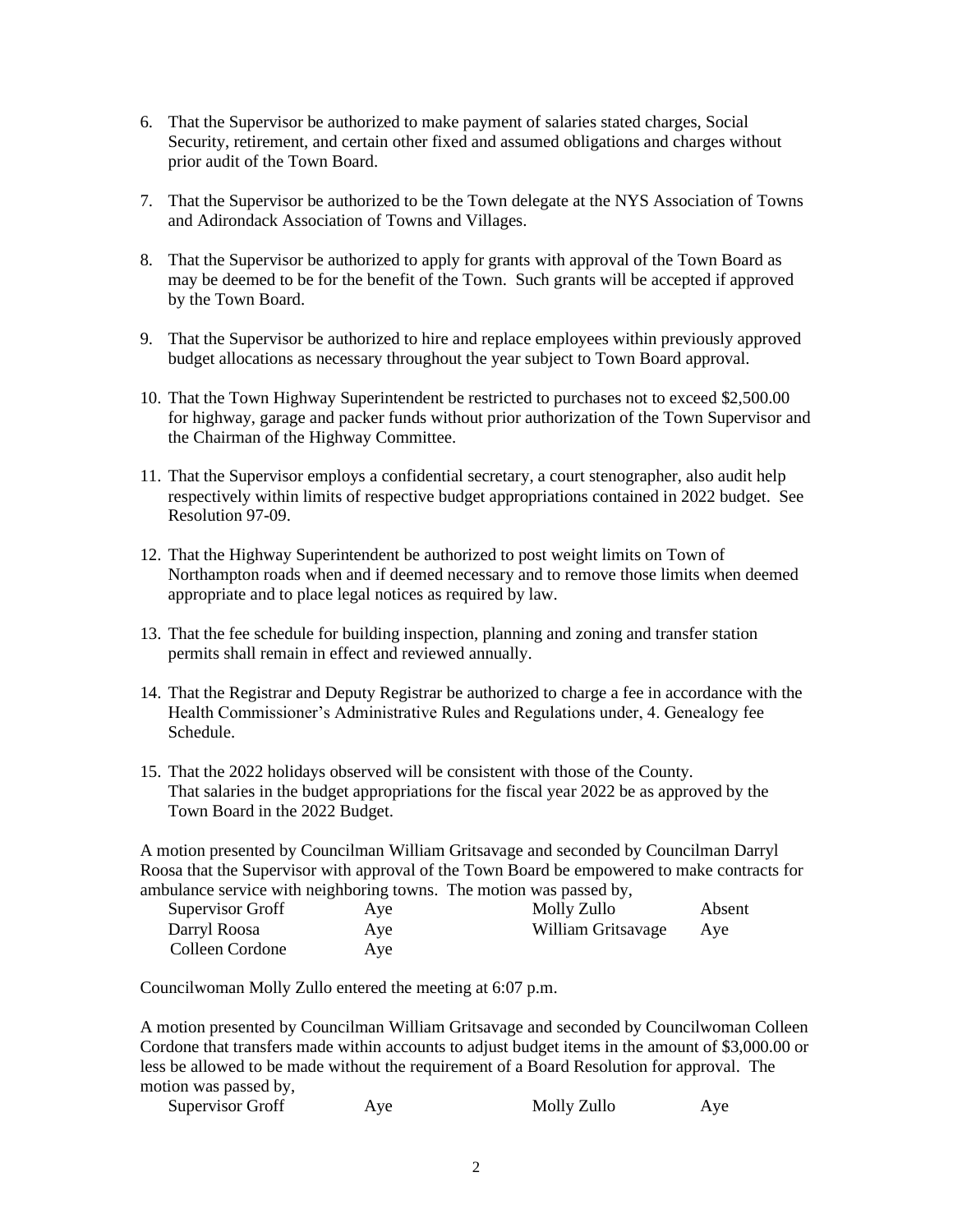- 6. That the Supervisor be authorized to make payment of salaries stated charges, Social Security, retirement, and certain other fixed and assumed obligations and charges without prior audit of the Town Board.
- 7. That the Supervisor be authorized to be the Town delegate at the NYS Association of Towns and Adirondack Association of Towns and Villages.
- 8. That the Supervisor be authorized to apply for grants with approval of the Town Board as may be deemed to be for the benefit of the Town. Such grants will be accepted if approved by the Town Board.
- 9. That the Supervisor be authorized to hire and replace employees within previously approved budget allocations as necessary throughout the year subject to Town Board approval.
- 10. That the Town Highway Superintendent be restricted to purchases not to exceed \$2,500.00 for highway, garage and packer funds without prior authorization of the Town Supervisor and the Chairman of the Highway Committee.
- 11. That the Supervisor employs a confidential secretary, a court stenographer, also audit help respectively within limits of respective budget appropriations contained in 2022 budget. See Resolution 97-09.
- 12. That the Highway Superintendent be authorized to post weight limits on Town of Northampton roads when and if deemed necessary and to remove those limits when deemed appropriate and to place legal notices as required by law.
- 13. That the fee schedule for building inspection, planning and zoning and transfer station permits shall remain in effect and reviewed annually.
- 14. That the Registrar and Deputy Registrar be authorized to charge a fee in accordance with the Health Commissioner's Administrative Rules and Regulations under, 4. Genealogy fee Schedule.
- 15. That the 2022 holidays observed will be consistent with those of the County. That salaries in the budget appropriations for the fiscal year 2022 be as approved by the Town Board in the 2022 Budget.

A motion presented by Councilman William Gritsavage and seconded by Councilman Darryl Roosa that the Supervisor with approval of the Town Board be empowered to make contracts for ambulance service with neighboring towns. The motion was passed by,

| Supervisor Groff | Aye | Molly Zullo        | Absent |
|------------------|-----|--------------------|--------|
| Darryl Roosa     | Aye | William Gritsavage | Ave    |
| Colleen Cordone  | Aye |                    |        |

Councilwoman Molly Zullo entered the meeting at 6:07 p.m.

A motion presented by Councilman William Gritsavage and seconded by Councilwoman Colleen Cordone that transfers made within accounts to adjust budget items in the amount of \$3,000.00 or less be allowed to be made without the requirement of a Board Resolution for approval. The motion was passed by,

| <b>Supervisor Groff</b> | Ave | Molly Zullo | Ave |
|-------------------------|-----|-------------|-----|
|-------------------------|-----|-------------|-----|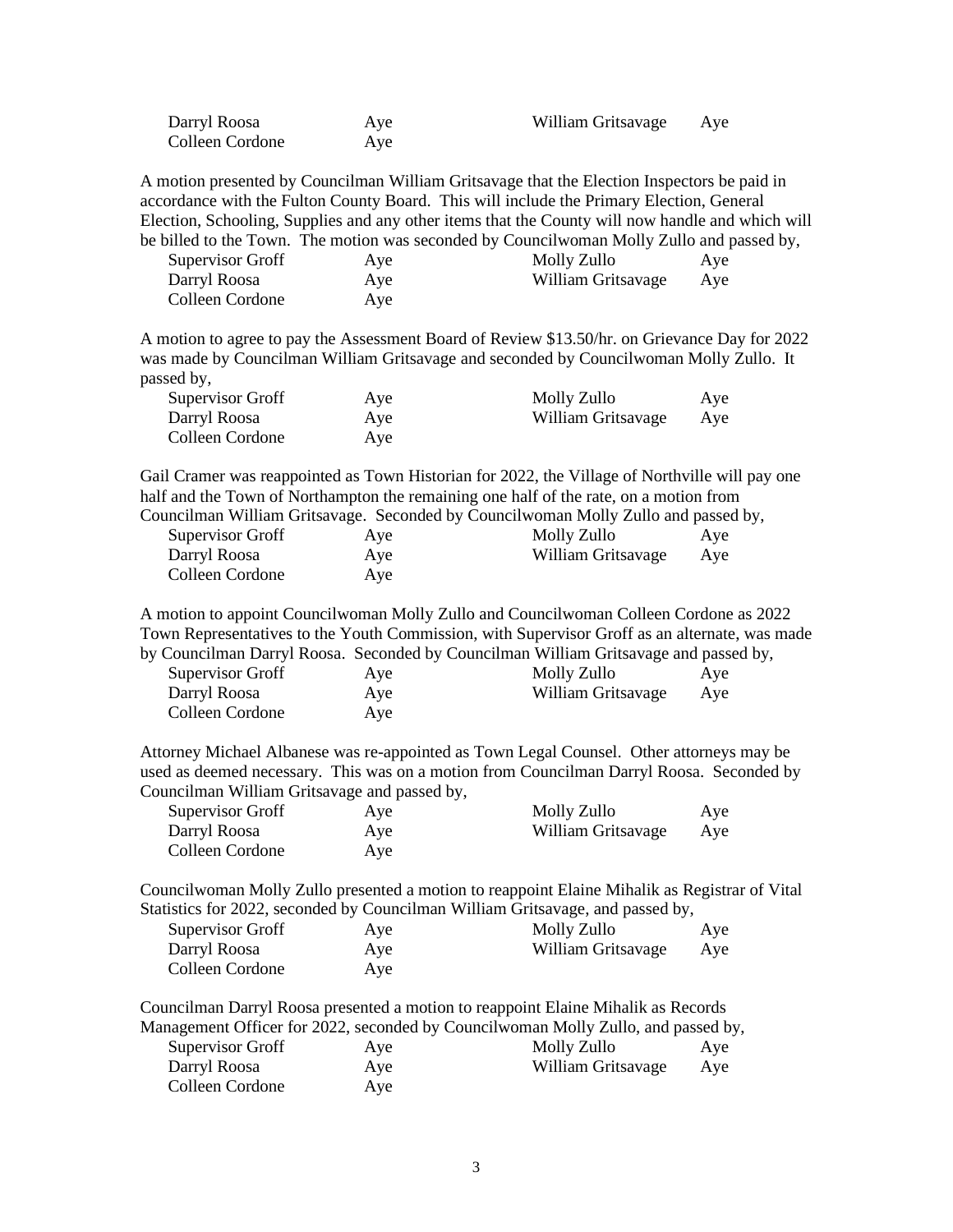| Darryl Roosa    | Aye | William Gritsavage | Aye |
|-----------------|-----|--------------------|-----|
| Colleen Cordone | Aye |                    |     |

A motion presented by Councilman William Gritsavage that the Election Inspectors be paid in accordance with the Fulton County Board. This will include the Primary Election, General Election, Schooling, Supplies and any other items that the County will now handle and which will be billed to the Town. The motion was seconded by Councilwoman Molly Zullo and passed by,

| Supervisor Groff | Aye | Molly Zullo        | Aye |
|------------------|-----|--------------------|-----|
| Darryl Roosa     | Aye | William Gritsavage | Aye |
| Colleen Cordone  | Aye |                    |     |

A motion to agree to pay the Assessment Board of Review \$13.50/hr. on Grievance Day for 2022 was made by Councilman William Gritsavage and seconded by Councilwoman Molly Zullo. It passed by,

| Supervisor Groff | Aye | Molly Zullo        | Aye |
|------------------|-----|--------------------|-----|
| Darryl Roosa     | Aye | William Gritsavage | Aye |
| Colleen Cordone  | Aye |                    |     |

Gail Cramer was reappointed as Town Historian for 2022, the Village of Northville will pay one half and the Town of Northampton the remaining one half of the rate, on a motion from Councilman William Gritsavage. Seconded by Councilwoman Molly Zullo and passed by,

| Supervisor Groff | Aye | Molly Zullo        | Aye |
|------------------|-----|--------------------|-----|
| Darryl Roosa     | Aye | William Gritsavage | Aye |
| Colleen Cordone  | Aye |                    |     |

A motion to appoint Councilwoman Molly Zullo and Councilwoman Colleen Cordone as 2022 Town Representatives to the Youth Commission, with Supervisor Groff as an alternate, was made by Councilman Darryl Roosa. Seconded by Councilman William Gritsavage and passed by,

| Supervisor Groff | Aye | Molly Zullo        | Aye |
|------------------|-----|--------------------|-----|
| Darryl Roosa     | Aye | William Gritsavage | Aye |
| Colleen Cordone  | Aye |                    |     |

Attorney Michael Albanese was re-appointed as Town Legal Counsel. Other attorneys may be used as deemed necessary. This was on a motion from Councilman Darryl Roosa. Seconded by Councilman William Gritsavage and passed by,

| Supervisor Groff | Aye | Molly Zullo        | Aye |
|------------------|-----|--------------------|-----|
| Darryl Roosa     | Aye | William Gritsavage | Aye |
| Colleen Cordone  | Aye |                    |     |

Councilwoman Molly Zullo presented a motion to reappoint Elaine Mihalik as Registrar of Vital Statistics for 2022, seconded by Councilman William Gritsavage, and passed by,

| Supervisor Groff | Aye | Molly Zullo        | Aye |
|------------------|-----|--------------------|-----|
| Darryl Roosa     | Aye | William Gritsavage | Aye |
| Colleen Cordone  | Ave |                    |     |

Councilman Darryl Roosa presented a motion to reappoint Elaine Mihalik as Records Management Officer for 2022, seconded by Councilwoman Molly Zullo, and passed by,

| Supervisor Groff | Aye | Molly Zullo        | Aye |
|------------------|-----|--------------------|-----|
| Darryl Roosa     | Aye | William Gritsavage | Aye |
| Colleen Cordone  | Aye |                    |     |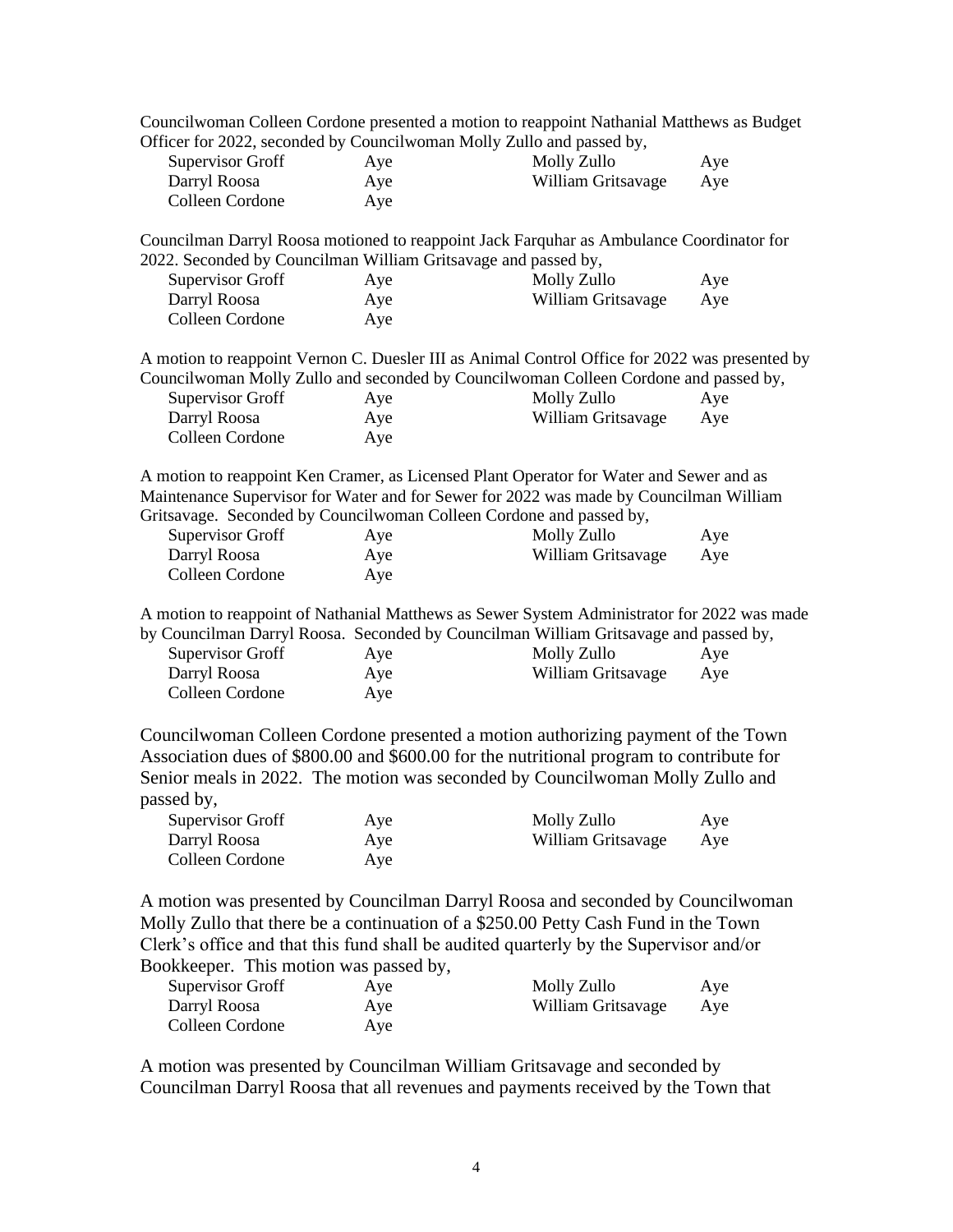|                                                                |                   | Councilwoman Colleen Cordone presented a motion to reappoint Nathanial Matthews as Budget                                                                                                                                                                               |            |
|----------------------------------------------------------------|-------------------|-------------------------------------------------------------------------------------------------------------------------------------------------------------------------------------------------------------------------------------------------------------------------|------------|
|                                                                |                   | Officer for 2022, seconded by Councilwoman Molly Zullo and passed by,                                                                                                                                                                                                   |            |
| Supervisor Groff                                               | Aye               | Molly Zullo                                                                                                                                                                                                                                                             | Aye        |
| Darryl Roosa                                                   | Aye               | William Gritsavage                                                                                                                                                                                                                                                      | Aye        |
| Colleen Cordone                                                | Aye               |                                                                                                                                                                                                                                                                         |            |
|                                                                |                   | Councilman Darryl Roosa motioned to reappoint Jack Farquhar as Ambulance Coordinator for                                                                                                                                                                                |            |
| 2022. Seconded by Councilman William Gritsavage and passed by, |                   |                                                                                                                                                                                                                                                                         |            |
| <b>Supervisor Groff</b>                                        | Aye               | Molly Zullo                                                                                                                                                                                                                                                             | Aye        |
| Darryl Roosa                                                   | Aye               | William Gritsavage                                                                                                                                                                                                                                                      | Aye        |
| Colleen Cordone                                                | Aye               |                                                                                                                                                                                                                                                                         |            |
|                                                                |                   | A motion to reappoint Vernon C. Duesler III as Animal Control Office for 2022 was presented by                                                                                                                                                                          |            |
|                                                                |                   | Councilwoman Molly Zullo and seconded by Councilwoman Colleen Cordone and passed by,                                                                                                                                                                                    |            |
| Supervisor Groff                                               | Aye               | Molly Zullo                                                                                                                                                                                                                                                             | Aye        |
| Darryl Roosa                                                   | Aye               | William Gritsavage                                                                                                                                                                                                                                                      | Aye        |
| Colleen Cordone                                                | Aye               |                                                                                                                                                                                                                                                                         |            |
| Supervisor Groff                                               | Aye               | A motion to reappoint Ken Cramer, as Licensed Plant Operator for Water and Sewer and as<br>Maintenance Supervisor for Water and for Sewer for 2022 was made by Councilman William<br>Gritsavage. Seconded by Councilwoman Colleen Cordone and passed by,<br>Molly Zullo | Aye        |
| Darryl Roosa                                                   | Aye               | William Gritsavage                                                                                                                                                                                                                                                      | Aye        |
| Colleen Cordone                                                | Aye               |                                                                                                                                                                                                                                                                         |            |
| <b>Supervisor Groff</b><br>Darryl Roosa<br>Colleen Cordone     | Aye<br>Aye<br>Aye | A motion to reappoint of Nathanial Matthews as Sewer System Administrator for 2022 was made<br>by Councilman Darryl Roosa. Seconded by Councilman William Gritsavage and passed by,<br>Molly Zullo<br>William Gritsavage                                                | Aye<br>Aye |
|                                                                |                   | Councilwoman Colleen Cordone presented a motion authorizing payment of the Town                                                                                                                                                                                         |            |
| passed by,                                                     |                   | Association dues of \$800.00 and \$600.00 for the nutritional program to contribute for<br>Senior meals in 2022. The motion was seconded by Councilwoman Molly Zullo and                                                                                                |            |
| <b>Supervisor Groff</b>                                        |                   | Molly Zullo                                                                                                                                                                                                                                                             |            |
|                                                                | Aye               |                                                                                                                                                                                                                                                                         | Aye        |
| Darryl Roosa                                                   | Aye               | William Gritsavage                                                                                                                                                                                                                                                      | Aye        |
| Colleen Cordone                                                | Aye               |                                                                                                                                                                                                                                                                         |            |
|                                                                |                   | A motion was presented by Councilman Darryl Roosa and seconded by Councilwoman<br>Molly Zullo that there be a continuation of a \$250.00 Petty Cash Fund in the Town<br>Clerk's office and that this fund shall be audited quarterly by the Supervisor and/or           |            |

Bookkeeper. This motion was passed by,

| Supervisor Groff | Aye | Molly Zullo        | Aye |
|------------------|-----|--------------------|-----|
| Darryl Roosa     | Aye | William Gritsavage | Aye |
| Colleen Cordone  | Aye |                    |     |

A motion was presented by Councilman William Gritsavage and seconded by Councilman Darryl Roosa that all revenues and payments received by the Town that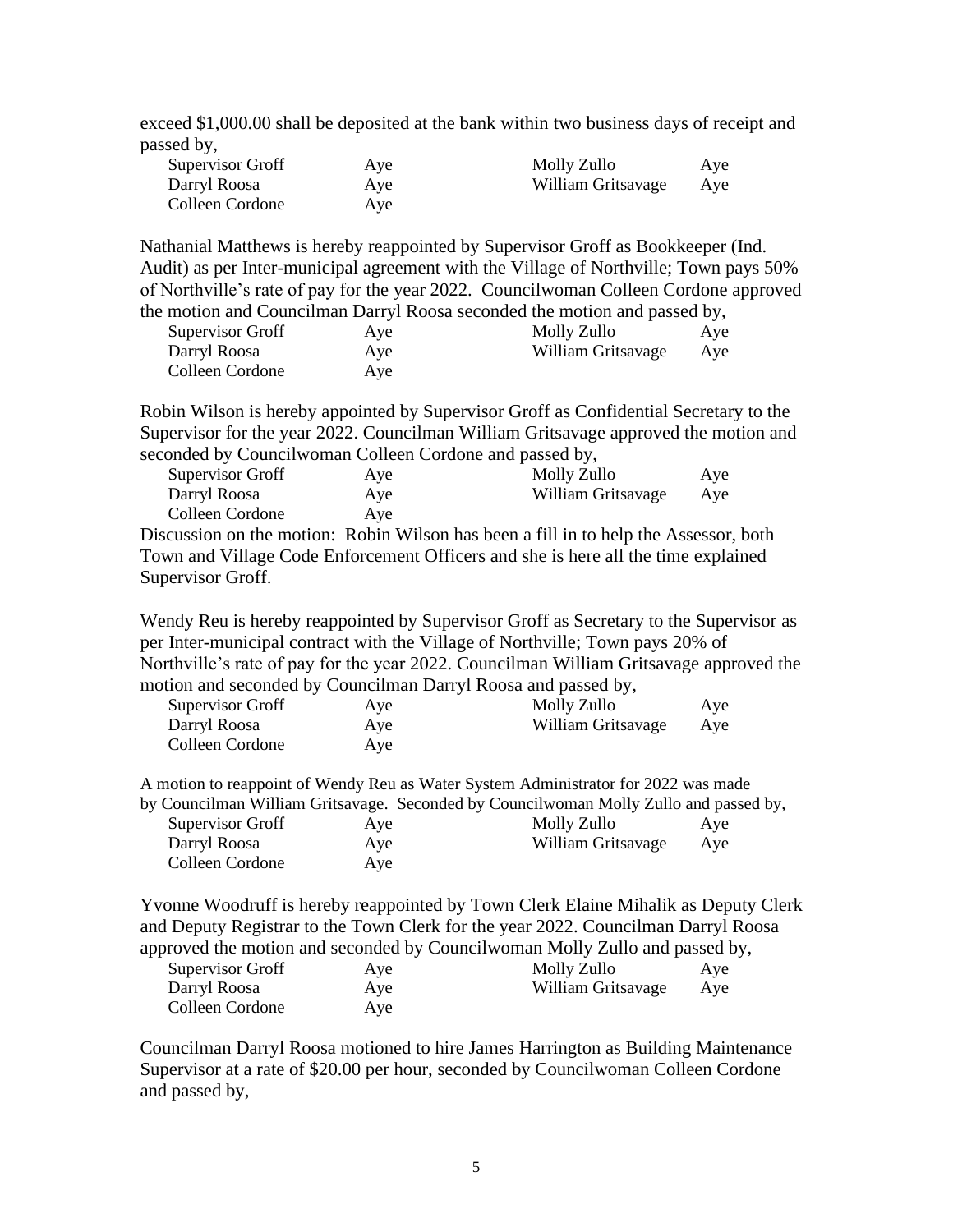exceed \$1,000.00 shall be deposited at the bank within two business days of receipt and passed by,

| <b>Supervisor Groff</b> | Aye | Molly Zullo        | Aye |
|-------------------------|-----|--------------------|-----|
| Darryl Roosa            | Aye | William Gritsavage | Aye |
| Colleen Cordone         | Aye |                    |     |

Nathanial Matthews is hereby reappointed by Supervisor Groff as Bookkeeper (Ind. Audit) as per Inter-municipal agreement with the Village of Northville; Town pays 50% of Northville's rate of pay for the year 2022. Councilwoman Colleen Cordone approved the motion and Councilman Darryl Roosa seconded the motion and passed by,

| motion and councillian Darry roosa seconded the motion and passed by, |     |                    |     |  |
|-----------------------------------------------------------------------|-----|--------------------|-----|--|
| Supervisor Groff                                                      | Aye | Molly Zullo        | Aye |  |
| Darryl Roosa                                                          | Aye | William Gritsavage | Aye |  |
| Colleen Cordone                                                       | Aye |                    |     |  |

Robin Wilson is hereby appointed by Supervisor Groff as Confidential Secretary to the Supervisor for the year 2022. Councilman William Gritsavage approved the motion and seconded by Councilwoman Colleen Cordone and passed by,

| Supervisor Groff | Aye | Molly Zullo        | Aye |
|------------------|-----|--------------------|-----|
| Darryl Roosa     | Aye | William Gritsavage | Aye |
| Colleen Cordone  | Ave |                    |     |

Discussion on the motion: Robin Wilson has been a fill in to help the Assessor, both Town and Village Code Enforcement Officers and she is here all the time explained Supervisor Groff.

Wendy Reu is hereby reappointed by Supervisor Groff as Secretary to the Supervisor as per Inter-municipal contract with the Village of Northville; Town pays 20% of Northville's rate of pay for the year 2022. Councilman William Gritsavage approved the motion and seconded by Councilman Darryl Roosa and passed by,

| <b>Supervisor Groff</b> | Aye | Molly Zullo        | Aye |
|-------------------------|-----|--------------------|-----|
| Darryl Roosa            | Aye | William Gritsavage | Aye |
| Colleen Cordone         | Ave |                    |     |

A motion to reappoint of Wendy Reu as Water System Administrator for 2022 was made by Councilman William Gritsavage. Seconded by Councilwoman Molly Zullo and passed by,

| <b>Supervisor Groff</b> | Aye | Molly Zullo        | Aye |  |
|-------------------------|-----|--------------------|-----|--|
| Darryl Roosa            | Aye | William Gritsavage | Ave |  |
| Colleen Cordone         | Aye |                    |     |  |

Yvonne Woodruff is hereby reappointed by Town Clerk Elaine Mihalik as Deputy Clerk and Deputy Registrar to the Town Clerk for the year 2022. Councilman Darryl Roosa approved the motion and seconded by Councilwoman Molly Zullo and passed by,

| Supervisor Groff | Aye | Molly Zullo        | Aye |
|------------------|-----|--------------------|-----|
| Darryl Roosa     | Aye | William Gritsavage | Ave |
| Colleen Cordone  | Aye |                    |     |

Councilman Darryl Roosa motioned to hire James Harrington as Building Maintenance Supervisor at a rate of \$20.00 per hour, seconded by Councilwoman Colleen Cordone and passed by,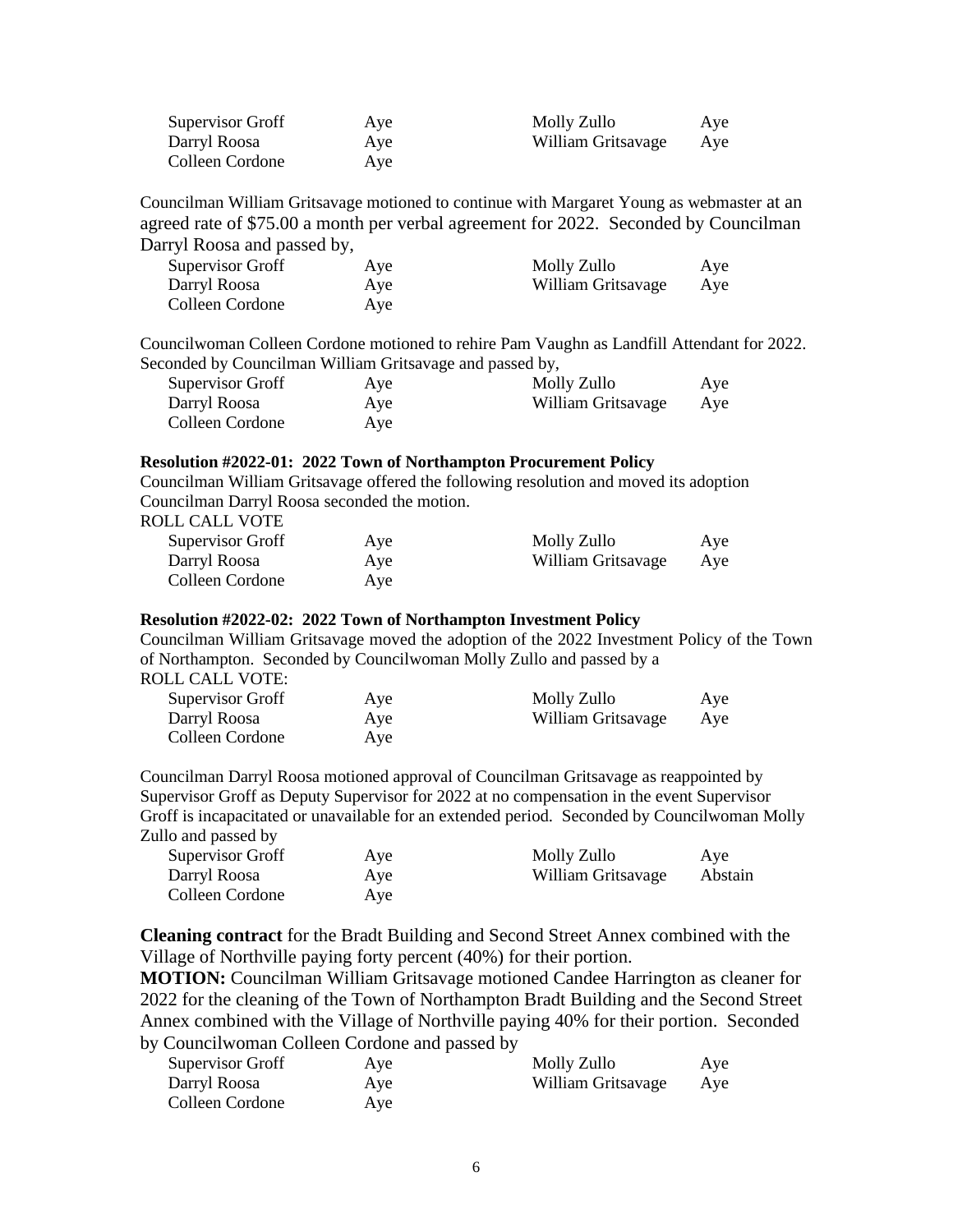| Supervisor Groff | Aye | Molly Zullo        | Aye |
|------------------|-----|--------------------|-----|
| Darryl Roosa     | Aye | William Gritsavage | Aye |
| Colleen Cordone  | Aye |                    |     |

Councilman William Gritsavage motioned to continue with Margaret Young as webmaster at an agreed rate of \$75.00 a month per verbal agreement for 2022. Seconded by Councilman Darryl Roosa and passed by,

| Supervisor Groff | Aye | Molly Zullo        | Aye |
|------------------|-----|--------------------|-----|
| Darryl Roosa     | Aye | William Gritsavage | Aye |
| Colleen Cordone  | Aye |                    |     |

Councilwoman Colleen Cordone motioned to rehire Pam Vaughn as Landfill Attendant for 2022. Seconded by Councilman William Gritsavage and passed by,

| Supervisor Groff | Aye | Molly Zullo        | Aye |
|------------------|-----|--------------------|-----|
| Darryl Roosa     | Aye | William Gritsavage | Aye |
| Colleen Cordone  | Aye |                    |     |

### **Resolution #2022-01: 2022 Town of Northampton Procurement Policy**

Councilman William Gritsavage offered the following resolution and moved its adoption Councilman Darryl Roosa seconded the motion.

ROLL CALL VOTE

| Supervisor Groff | Aye | Molly Zullo        | Aye |
|------------------|-----|--------------------|-----|
| Darryl Roosa     | Aye | William Gritsavage | Aye |
| Colleen Cordone  | Aye |                    |     |

#### **Resolution #2022-02: 2022 Town of Northampton Investment Policy**

Councilman William Gritsavage moved the adoption of the 2022 Investment Policy of the Town of Northampton. Seconded by Councilwoman Molly Zullo and passed by a

ROLL CALL VOTE:

| Supervisor Groff | Aye | Molly Zullo        | Aye |
|------------------|-----|--------------------|-----|
| Darryl Roosa     | Aye | William Gritsavage | Aye |
| Colleen Cordone  | Aye |                    |     |

Councilman Darryl Roosa motioned approval of Councilman Gritsavage as reappointed by Supervisor Groff as Deputy Supervisor for 2022 at no compensation in the event Supervisor Groff is incapacitated or unavailable for an extended period. Seconded by Councilwoman Molly Zullo and passed by

| Supervisor Groff | Aye | Molly Zullo        | Aye     |
|------------------|-----|--------------------|---------|
| Darryl Roosa     | Aye | William Gritsavage | Abstain |
| Colleen Cordone  | Aye |                    |         |

**Cleaning contract** for the Bradt Building and Second Street Annex combined with the Village of Northville paying forty percent (40%) for their portion.

**MOTION:** Councilman William Gritsavage motioned Candee Harrington as cleaner for 2022 for the cleaning of the Town of Northampton Bradt Building and the Second Street Annex combined with the Village of Northville paying 40% for their portion. Seconded by Councilwoman Colleen Cordone and passed by

| Supervisor Groff | Aye | Molly Zullo        | Aye |
|------------------|-----|--------------------|-----|
| Darryl Roosa     | Aye | William Gritsavage | Aye |
| Colleen Cordone  | Aye |                    |     |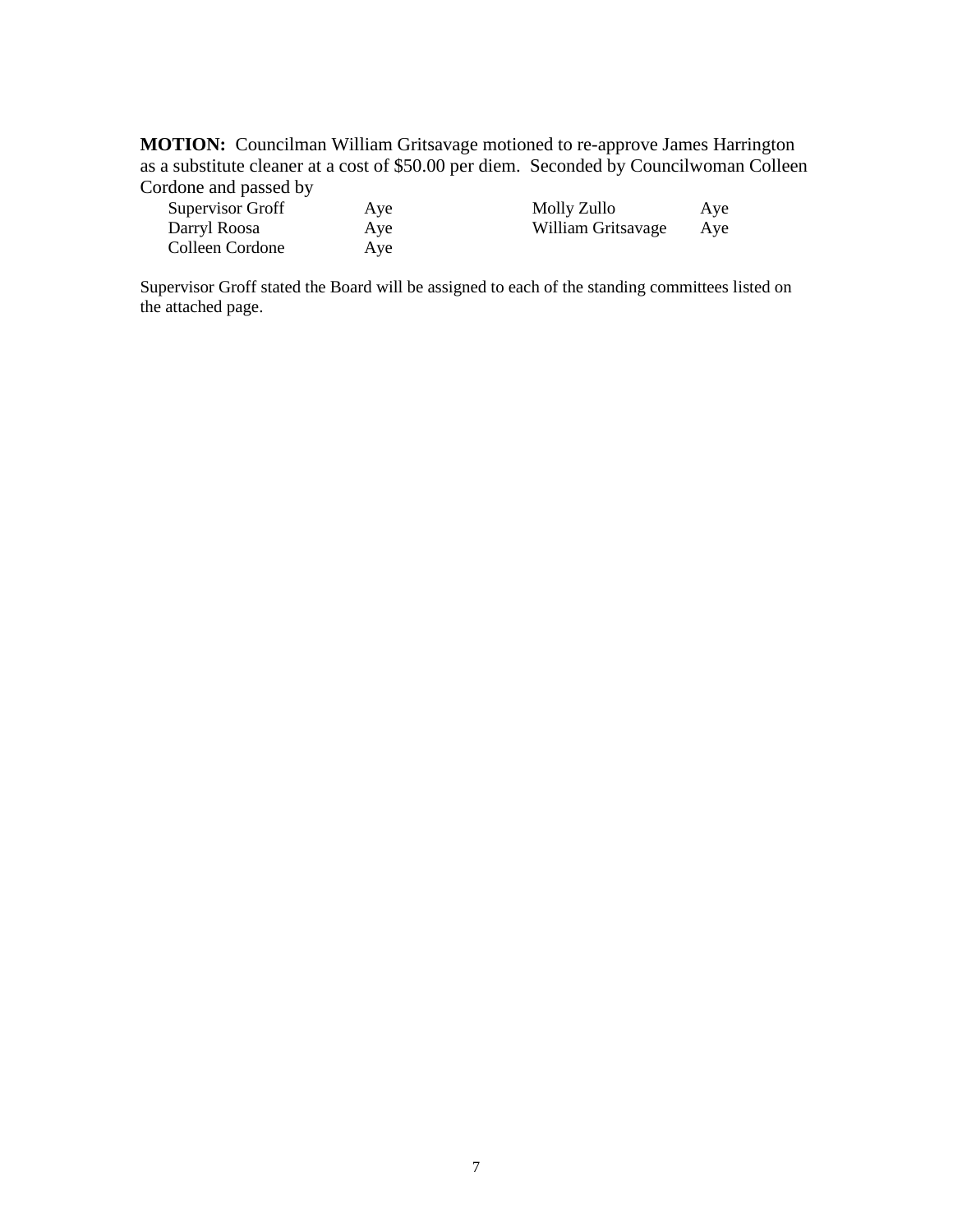**MOTION:** Councilman William Gritsavage motioned to re-approve James Harrington as a substitute cleaner at a cost of \$50.00 per diem. Seconded by Councilwoman Colleen Cordone and passed by

| <b>Supervisor Groff</b> | Aye | Molly Zullo        | Aye |
|-------------------------|-----|--------------------|-----|
| Darryl Roosa            | Aye | William Gritsavage | Ave |
| Colleen Cordone         | Aye |                    |     |

Supervisor Groff stated the Board will be assigned to each of the standing committees listed on the attached page.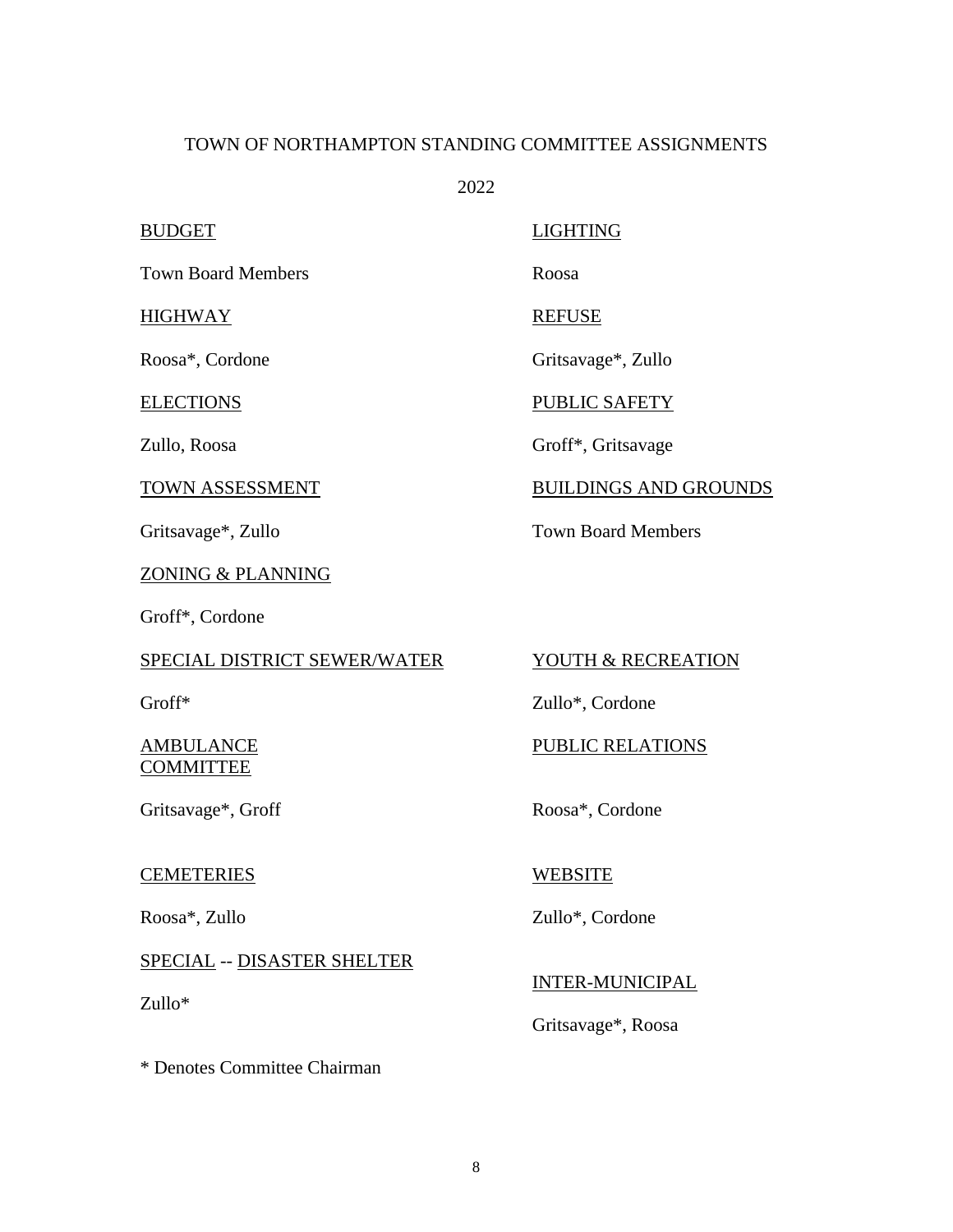# TOWN OF NORTHAMPTON STANDING COMMITTEE ASSIGNMENTS

2022

Town Board Members Roosa

### HIGHWAY REFUSE

ZONING & PLANNING

Groff\*, Cordone

# SPECIAL DISTRICT SEWER/WATER YOUTH & RECREATION

COMMITTEE

Gritsavage\*, Groff Roosa\*, Cordone

### CEMETERIES WEBSITE

### SPECIAL -- DISASTER SHELTER

Zullo\*

\* Denotes Committee Chairman

# BUDGET LIGHTING

Roosa\*, Cordone Gritsavage\*, Zullo

# ELECTIONS PUBLIC SAFETY

Zullo, Roosa Groff\*, Gritsavage

## TOWN ASSESSMENT BUILDINGS AND GROUNDS

Gritsavage\*, Zullo Town Board Members

Groff<sup>\*</sup> Zullo<sup>\*</sup>, Cordone

# AMBULANCE PUBLIC RELATIONS

Roosa\*, Zullo Zullo\*, Cordone

### INTER-MUNICIPAL

Gritsavage\*, Roosa